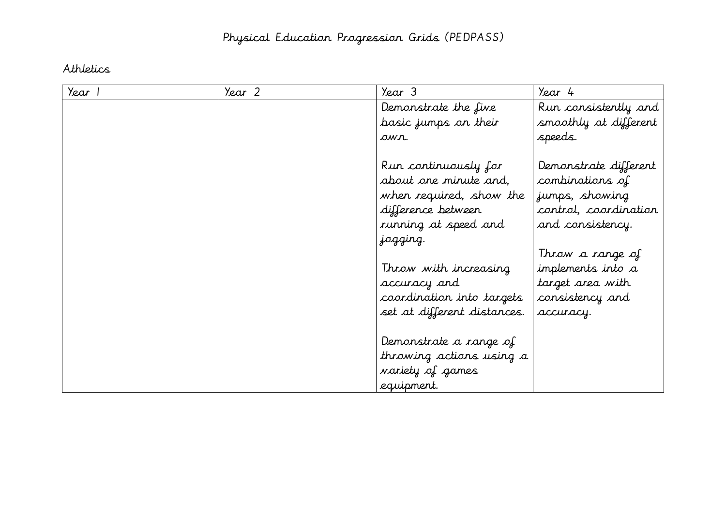### Athletics

| Year 1 | Year 2 | Year 3                                                                                                                             | Year 4                                                                                                  |
|--------|--------|------------------------------------------------------------------------------------------------------------------------------------|---------------------------------------------------------------------------------------------------------|
|        |        | Demonstrate the five                                                                                                               | Run consistently and                                                                                    |
|        |        | basic jumps on their                                                                                                               | smoothly at different                                                                                   |
|        |        | own.                                                                                                                               | speeds.                                                                                                 |
|        |        | Run continuously for<br>about one minute and,<br>when required, show the<br>difference between<br>running at speed and<br>jogging. | Demonstrate different<br>combinations of<br>jumps, showing<br>control, coordination<br>and consistency. |
|        |        | Throw with increasing<br>accuracy and<br>coordination into targets<br>set at different distances.                                  | Throw a range of<br>implements into a<br>target area with<br>consistency and<br>accuracy.               |
|        |        | Demonstrate a range of<br>throwing actions using a<br>variety of games<br>equipment.                                               |                                                                                                         |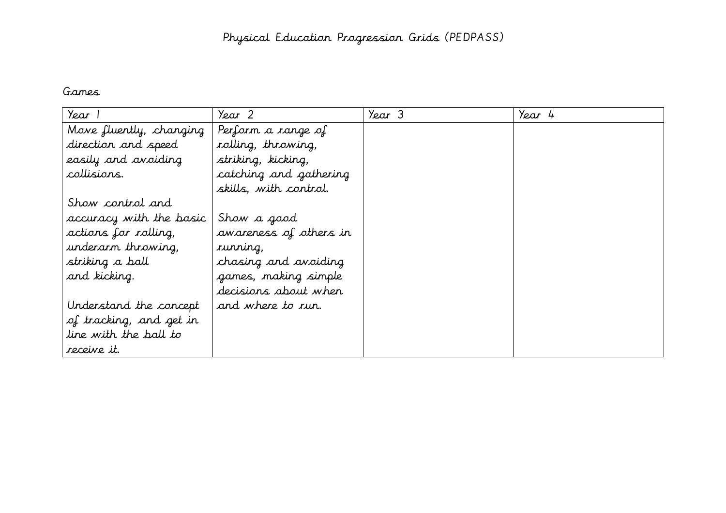#### Games

| Year                    | Year 2                 | Year 3 | Year 4 |  |
|-------------------------|------------------------|--------|--------|--|
| Move fluently, changing | Perform a range of     |        |        |  |
| direction and speed     | rolling, throwing,     |        |        |  |
| easily and avoiding     | striking, kicking,     |        |        |  |
| collisions.             | catching and gathering |        |        |  |
|                         | skills, with control.  |        |        |  |
| Show control and        |                        |        |        |  |
| accuracy with the basic | Show a good            |        |        |  |
| actions for rolling,    | awareness of others in |        |        |  |
| underarm throwing,      | running,               |        |        |  |
| striking a ball         | chasing and avoiding   |        |        |  |
| and kicking.            | games, making simple   |        |        |  |
|                         | decisions about when   |        |        |  |
| Understand the concept  | and where to run.      |        |        |  |
| of tracking, and get in |                        |        |        |  |
| line with the ball to   |                        |        |        |  |
| receive it.             |                        |        |        |  |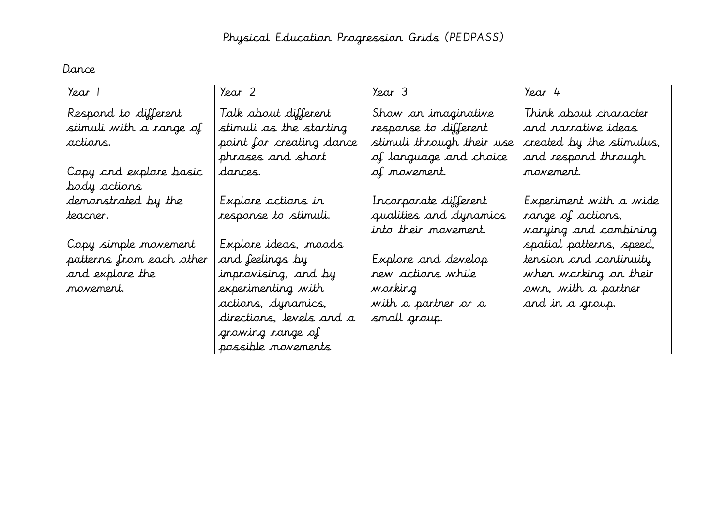### Dance

| Year 1                   | Year 2                   | Year 3                    | Year 4                       |
|--------------------------|--------------------------|---------------------------|------------------------------|
| Respond to different     | Talk about different     | Show an imaginative       | Think about character        |
| stimuli with a range of  | stimuli as the starting  | response to different     | and narrative ideas          |
| actions.                 | point for creating dance | stimuli through their use | created by the stimulus,     |
|                          | phrases and short        | of language and choice    | and respond through          |
| Copy and explore basic   | dances.                  | of movement.              | movement.                    |
| body actions             |                          |                           |                              |
| demonstrated by the      | Explore actions in       | Incorporate different     | Experiment with a wide       |
| teacher.                 | response to stimuli.     | qualities and dynamics    | range of actions,            |
|                          |                          | into their movement.      | <i>varying and combining</i> |
| Copy simple movement     | Explore ideas, moods     |                           | spatial patterns, speed,     |
| patterns from each other | and feelings by          | Explore and develop       | tension and continuity       |
| and explore the          | improvising, and by      | new actions while         | when working on their        |
| movement.                | experimenting with       | working                   | own, with a partner          |
|                          | actions, dynamics,       | with a partner or a       | and in a group.              |
|                          | directions, levels and a | small group.              |                              |
|                          | growing range of         |                           |                              |
|                          | possible movements       |                           |                              |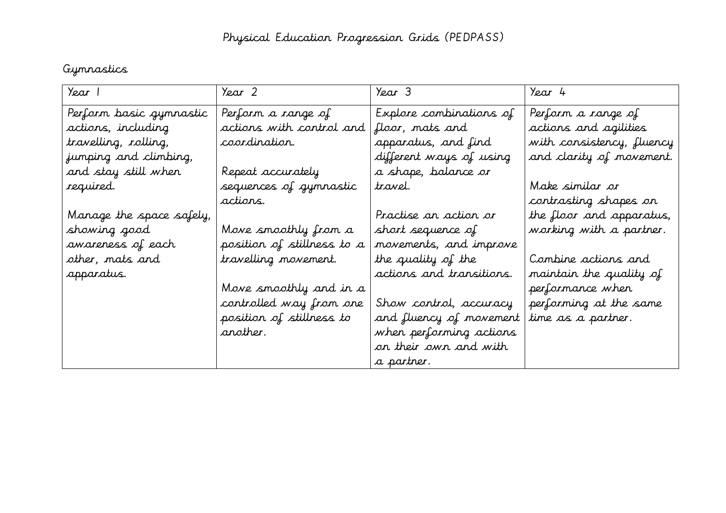## Gymnastics

| Year 1                   | Year 2                     | Year 3                   | Year 4                    |
|--------------------------|----------------------------|--------------------------|---------------------------|
| Perform basic gymnastic  | Perform a range of         | Explore combinations of  | Perform a range of        |
| actions, including       | actions with control and   | floor, mats and          | actions and agilities     |
| travelling, rolling,     | coordination.              | apparatus, and find      | with consistency, fluency |
| jumping and climbing,    |                            | different ways of using  | and clarity of movement.  |
| and stay still when      | Repeat accurately          | a shape, balance or      |                           |
| required.                | sequences of gymnastic     | travel.                  | Make similar or           |
|                          | actions.                   |                          | contrasting shapes on     |
| Manage the space safely, |                            | Practise an action or    | the floor and apparatus,  |
| showing good             | Move smoothly from a       | short sequence of        | working with a partner.   |
| awareness of each        | position of stillness to a | movements, and improve   |                           |
| other, mats and          | travelling movement.       | the quality of the       | Combine actions and       |
| apparatus.               |                            | actions and transitions. | maintain the quality of   |
|                          | Move smoothly and in a     |                          | performance when          |
|                          | controlled way from one    | Show control, accuracy   | performing at the same    |
|                          | position of stillness to   | and fluency of movement  | time as a partner.        |
|                          | another.                   | when performing actions  |                           |
|                          |                            | or their own and with    |                           |
|                          |                            | a partner.               |                           |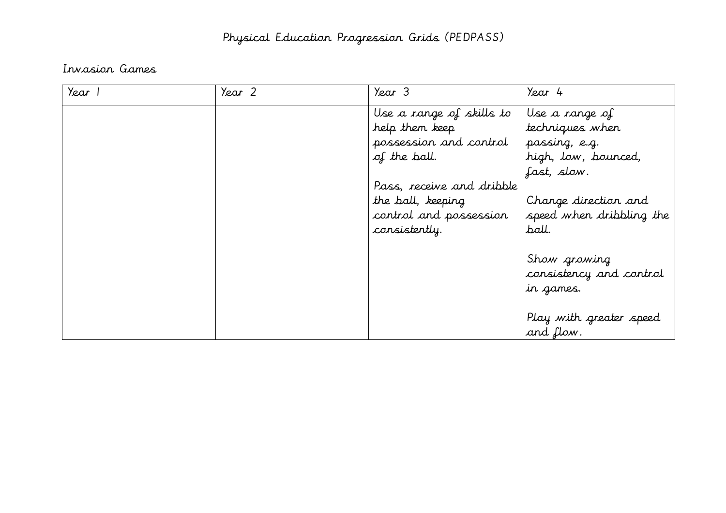### Invasion Games

| Year 1 | Year 2 | Year 3                    | Year 4                                               |
|--------|--------|---------------------------|------------------------------------------------------|
|        |        | Use a range of skills to  | Use a range of                                       |
|        |        | help them keep            | techniques when                                      |
|        |        | possession and control    | passing, e.g.                                        |
|        |        | of the ball.              | high, low, bounced,                                  |
|        |        |                           | fast, slow.                                          |
|        |        | Pass, receive and dribble |                                                      |
|        |        | the ball, keeping         | Change direction and                                 |
|        |        | control and possession    | speed when dribbling the                             |
|        |        | consistently.             | ball.                                                |
|        |        |                           | Show growing<br>consistency and control<br>in games. |
|        |        |                           | Play with greater speed                              |
|        |        |                           | and flow.                                            |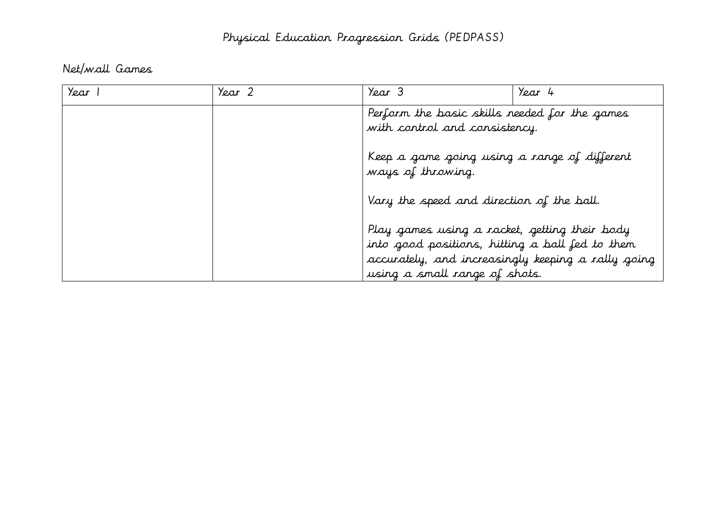## Net/wall Games

| Year | Year 2 | Year 3                                                                                           | Year 4 |
|------|--------|--------------------------------------------------------------------------------------------------|--------|
|      |        | Perform the basic skills needed for the games<br>with control and consistency.                   |        |
|      |        | Keep a game going using a range of different<br>ways of throwing.                                |        |
|      |        | Vary the speed and direction of the ball.                                                        |        |
|      |        | Play games using a racket, getting their body<br>into good positions, hitting a ball fed to them |        |
|      |        | accurately, and increasingly keeping a rally going<br>using a small range of shots.              |        |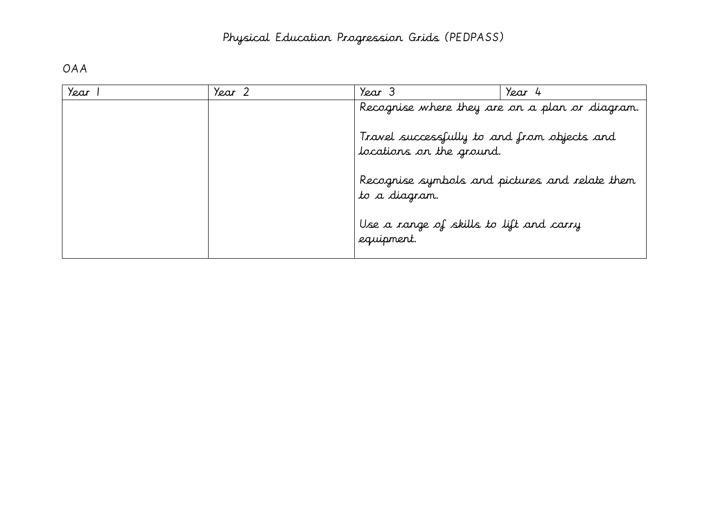## OAA

| Year | Year 2 | Year 3                                                                  | Year 4 |
|------|--------|-------------------------------------------------------------------------|--------|
|      |        | Recognise where they are on a plan or diagram.                          |        |
|      |        | Travel successfully to and from objects and<br>locations on the ground. |        |
|      |        | Recognise symbols and pictures and relate them<br>to a diagram.         |        |
|      |        | Use a range of skills to lift and carry<br>equipment.                   |        |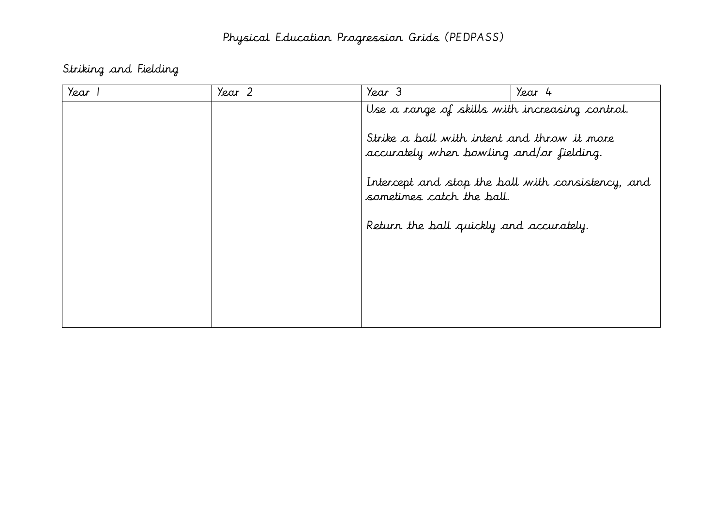Striking and Fielding

| Year | Year 2 | Year 3                                                                                                                                    | Year 4 |
|------|--------|-------------------------------------------------------------------------------------------------------------------------------------------|--------|
|      |        | Use a range of skills with increasing control.<br>Strike a ball with intent and throw it more<br>accurately when bowling and/or fielding. |        |
|      |        | Intercept and stop the ball with consistency, and<br>sometimes catch the ball.                                                            |        |
|      |        | Return the ball quickly and accurately.                                                                                                   |        |
|      |        |                                                                                                                                           |        |